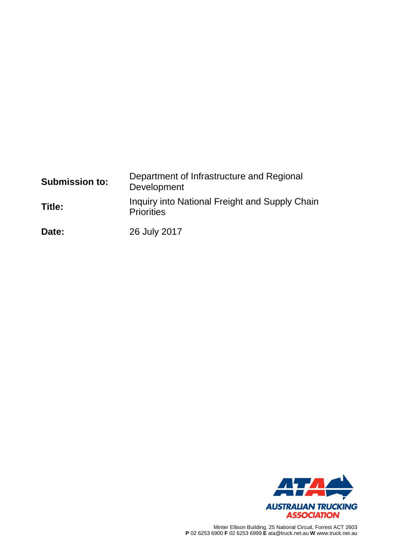| <b>Submission to:</b> | Department of Infrastructure and Regional<br>Development            |
|-----------------------|---------------------------------------------------------------------|
| Title:                | Inquiry into National Freight and Supply Chain<br><b>Priorities</b> |
| Date:                 | 26 July 2017                                                        |

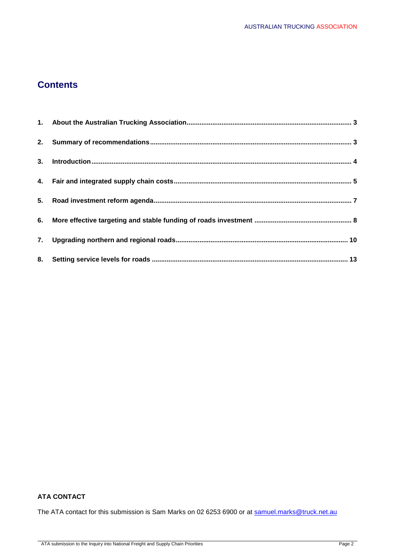# **Contents**

### **ATA CONTACT**

The ATA contact for this submission is Sam Marks on 02 6253 6900 or at [samuel.marks@truck.net.au](mailto:samuel.marks@truck.net.au)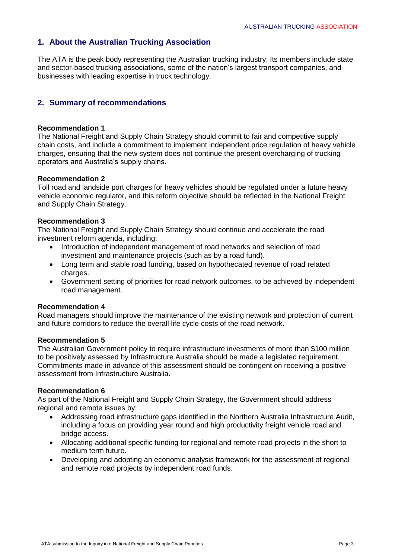# **1. About the Australian Trucking Association**

The ATA is the peak body representing the Australian trucking industry. Its members include state and sector-based trucking associations, some of the nation's largest transport companies, and businesses with leading expertise in truck technology.

### **2. Summary of recommendations**

### **Recommendation 1**

The National Freight and Supply Chain Strategy should commit to fair and competitive supply chain costs, and include a commitment to implement independent price regulation of heavy vehicle charges, ensuring that the new system does not continue the present overcharging of trucking operators and Australia's supply chains.

### **Recommendation 2**

Toll road and landside port charges for heavy vehicles should be regulated under a future heavy vehicle economic regulator, and this reform objective should be reflected in the National Freight and Supply Chain Strategy.

### **Recommendation 3**

The National Freight and Supply Chain Strategy should continue and accelerate the road investment reform agenda, including:

- Introduction of independent management of road networks and selection of road investment and maintenance projects (such as by a road fund).
- Long term and stable road funding, based on hypothecated revenue of road related charges.
- Government setting of priorities for road network outcomes, to be achieved by independent road management.

### **Recommendation 4**

Road managers should improve the maintenance of the existing network and protection of current and future corridors to reduce the overall life cycle costs of the road network.

### **Recommendation 5**

The Australian Government policy to require infrastructure investments of more than \$100 million to be positively assessed by Infrastructure Australia should be made a legislated requirement. Commitments made in advance of this assessment should be contingent on receiving a positive assessment from Infrastructure Australia.

### **Recommendation 6**

As part of the National Freight and Supply Chain Strategy, the Government should address regional and remote issues by:

- Addressing road infrastructure gaps identified in the Northern Australia Infrastructure Audit, including a focus on providing year round and high productivity freight vehicle road and bridge access.
- Allocating additional specific funding for regional and remote road projects in the short to medium term future.
- Developing and adopting an economic analysis framework for the assessment of regional and remote road projects by independent road funds.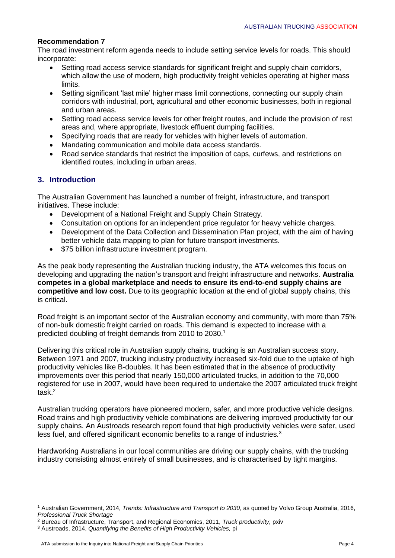### **Recommendation 7**

The road investment reform agenda needs to include setting service levels for roads. This should incorporate:

- Setting road access service standards for significant freight and supply chain corridors, which allow the use of modern, high productivity freight vehicles operating at higher mass limits.
- Setting significant 'last mile' higher mass limit connections, connecting our supply chain corridors with industrial, port, agricultural and other economic businesses, both in regional and urban areas.
- Setting road access service levels for other freight routes, and include the provision of rest areas and, where appropriate, livestock effluent dumping facilities.
- Specifying roads that are ready for vehicles with higher levels of automation.
- Mandating communication and mobile data access standards.
- Road service standards that restrict the imposition of caps, curfews, and restrictions on identified routes, including in urban areas.

# **3. Introduction**

The Australian Government has launched a number of freight, infrastructure, and transport initiatives. These include:

- Development of a National Freight and Supply Chain Strategy.
- Consultation on options for an independent price regulator for heavy vehicle charges.
- Development of the Data Collection and Dissemination Plan project, with the aim of having better vehicle data mapping to plan for future transport investments.
- \$75 billion infrastructure investment program.

As the peak body representing the Australian trucking industry, the ATA welcomes this focus on developing and upgrading the nation's transport and freight infrastructure and networks. **Australia competes in a global marketplace and needs to ensure its end-to-end supply chains are competitive and low cost.** Due to its geographic location at the end of global supply chains, this is critical.

Road freight is an important sector of the Australian economy and community, with more than 75% of non-bulk domestic freight carried on roads. This demand is expected to increase with a predicted doubling of freight demands from 2010 to 2030.<sup>1</sup>

Delivering this critical role in Australian supply chains, trucking is an Australian success story. Between 1971 and 2007, trucking industry productivity increased six-fold due to the uptake of high productivity vehicles like B-doubles. It has been estimated that in the absence of productivity improvements over this period that nearly 150,000 articulated trucks, in addition to the 70,000 registered for use in 2007, would have been required to undertake the 2007 articulated truck freight task.<sup>2</sup>

Australian trucking operators have pioneered modern, safer, and more productive vehicle designs. Road trains and high productivity vehicle combinations are delivering improved productivity for our supply chains. An Austroads research report found that high productivity vehicles were safer, used less fuel, and offered significant economic benefits to a range of industries.<sup>3</sup>

Hardworking Australians in our local communities are driving our supply chains, with the trucking industry consisting almost entirely of small businesses, and is characterised by tight margins.

<sup>1</sup> Australian Government, 2014, *Trends: Infrastructure and Transport to 2030*, as quoted by Volvo Group Australia, 2016, *Professional Truck Shortage*

<sup>2</sup> Bureau of Infrastructure, Transport, and Regional Economics, 2011, *Truck productivity,* pxiv

<sup>3</sup> Austroads, 2014, *Quantifying the Benefits of High Productivity Vehicles,* pi

ATA submission to the Inquiry into National Freight and Supply Chain Priorities Page 4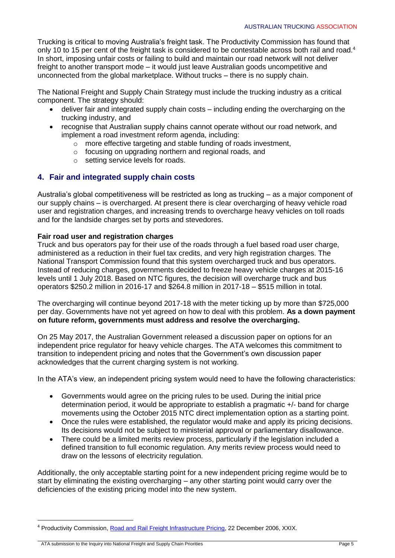Trucking is critical to moving Australia's freight task. The Productivity Commission has found that only 10 to 15 per cent of the freight task is considered to be contestable across both rail and road.<sup>4</sup> In short, imposing unfair costs or failing to build and maintain our road network will not deliver freight to another transport mode – it would just leave Australian goods uncompetitive and unconnected from the global marketplace. Without trucks – there is no supply chain.

The National Freight and Supply Chain Strategy must include the trucking industry as a critical component. The strategy should:

- deliver fair and integrated supply chain costs including ending the overcharging on the trucking industry, and
- recognise that Australian supply chains cannot operate without our road network, and implement a road investment reform agenda, including:
	- o more effective targeting and stable funding of roads investment,
	- o focusing on upgrading northern and regional roads, and
	- o setting service levels for roads.

# **4. Fair and integrated supply chain costs**

Australia's global competitiveness will be restricted as long as trucking – as a major component of our supply chains – is overcharged. At present there is clear overcharging of heavy vehicle road user and registration charges, and increasing trends to overcharge heavy vehicles on toll roads and for the landside charges set by ports and stevedores.

### **Fair road user and registration charges**

Truck and bus operators pay for their use of the roads through a fuel based road user charge, administered as a reduction in their fuel tax credits, and very high registration charges. The National Transport Commission found that this system overcharged truck and bus operators. Instead of reducing charges, governments decided to freeze heavy vehicle charges at 2015-16 levels until 1 July 2018. Based on NTC figures, the decision will overcharge truck and bus operators \$250.2 million in 2016-17 and \$264.8 million in 2017-18 – \$515 million in total.

The overcharging will continue beyond 2017-18 with the meter ticking up by more than \$725,000 per day. Governments have not yet agreed on how to deal with this problem. **As a down payment on future reform, governments must address and resolve the overcharging.**

On 25 May 2017, the Australian Government released a discussion paper on options for an independent price regulator for heavy vehicle charges. The ATA welcomes this commitment to transition to independent pricing and notes that the Government's own discussion paper acknowledges that the current charging system is not working.

In the ATA's view, an independent pricing system would need to have the following characteristics:

- Governments would agree on the pricing rules to be used. During the initial price determination period, it would be appropriate to establish a pragmatic +/- band for charge movements using the October 2015 NTC direct implementation option as a starting point.
- Once the rules were established, the regulator would make and apply its pricing decisions. Its decisions would not be subject to ministerial approval or parliamentary disallowance.
- There could be a limited merits review process, particularly if the legislation included a defined transition to full economic regulation. Any merits review process would need to draw on the lessons of electricity regulation.

Additionally, the only acceptable starting point for a new independent pricing regime would be to start by eliminating the existing overcharging – any other starting point would carry over the deficiencies of the existing pricing model into the new system.

ATA submission to the Inquiry into National Freight and Supply Chain Priorities Page 5

<sup>4</sup> Productivity Commission, [Road and Rail Freight Infrastructure Pricing,](http://www.pc.gov.au/inquiries/completed/freight/report/freight.pdf) 22 December 2006, XXIX.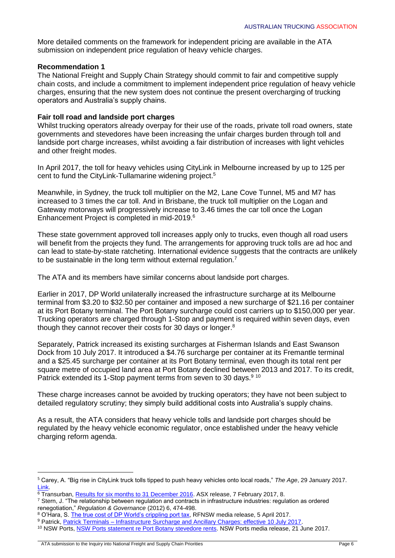More detailed comments on the framework for independent pricing are available in the ATA submission on independent price regulation of heavy vehicle charges.

### **Recommendation 1**

The National Freight and Supply Chain Strategy should commit to fair and competitive supply chain costs, and include a commitment to implement independent price regulation of heavy vehicle charges, ensuring that the new system does not continue the present overcharging of trucking operators and Australia's supply chains.

### **Fair toll road and landside port charges**

Whilst trucking operators already overpay for their use of the roads, private toll road owners, state governments and stevedores have been increasing the unfair charges burden through toll and landside port charge increases, whilst avoiding a fair distribution of increases with light vehicles and other freight modes.

In April 2017, the toll for heavy vehicles using CityLink in Melbourne increased by up to 125 per cent to fund the CityLink-Tullamarine widening project. 5

Meanwhile, in Sydney, the truck toll multiplier on the M2, Lane Cove Tunnel, M5 and M7 has increased to 3 times the car toll. And in Brisbane, the truck toll multiplier on the Logan and Gateway motorways will progressively increase to 3.46 times the car toll once the Logan Enhancement Project is completed in mid-2019.<sup>6</sup>

These state government approved toll increases apply only to trucks, even though all road users will benefit from the projects they fund. The arrangements for approving truck tolls are ad hoc and can lead to state-by-state ratcheting. International evidence suggests that the contracts are unlikely to be sustainable in the long term without external regulation.<sup>7</sup>

The ATA and its members have similar concerns about landside port charges.

Earlier in 2017, DP World unilaterally increased the infrastructure surcharge at its Melbourne terminal from \$3.20 to \$32.50 per container and imposed a new surcharge of \$21.16 per container at its Port Botany terminal. The Port Botany surcharge could cost carriers up to \$150,000 per year. Trucking operators are charged through 1-Stop and payment is required within seven days, even though they cannot recover their costs for 30 days or longer.<sup>8</sup>

Separately, Patrick increased its existing surcharges at Fisherman Islands and East Swanson Dock from 10 July 2017. It introduced a \$4.76 surcharge per container at its Fremantle terminal and a \$25.45 surcharge per container at its Port Botany terminal, even though its total rent per square metre of occupied land area at Port Botany declined between 2013 and 2017. To its credit, Patrick extended its 1-Stop payment terms from seven to 30 days.<sup>9 10</sup>

These charge increases cannot be avoided by trucking operators; they have not been subject to detailed regulatory scrutiny; they simply build additional costs into Australia's supply chains.

As a result, the ATA considers that heavy vehicle tolls and landside port charges should be regulated by the heavy vehicle economic regulator, once established under the heavy vehicle charging reform agenda.

<sup>5</sup> Carey, A. "Big rise in CityLink truck tolls tipped to push heavy vehicles onto local roads," *The Age*, 29 January 2017. [Link.](http://www.theage.com.au/victoria/big-rise-in-citylink-truck-tolls-tipped-to-push-heavy-vehicles-onto-local-roads-20170129-gu0vz3.html)

 $\overline{6}$  Transurban, Results for six months to 31 December 2016</u>. ASX release, 7 February 2017, 8.

<sup>7</sup> Stern, J. "The relationship between regulation and contracts in infrastructure industries: regulation as ordered renegotiation," *Regulation & Governance* (2012) 6, 474-498.

<sup>8</sup> O'Hara, S. [The true cost of DP World's crippling port tax,](http://www.roadfreightnsw.com.au/media-release-true-cost-dp-worlds-crippling-port-tax/) RFNSW media release, 5 April 2017.

<sup>&</sup>lt;sup>9</sup> Patrick, Patrick Terminals – [Infrastructure Surcharge and Ancillary Charges: effective 10 July 2017.](http://www.qube.com.au/downloads/announcements/Patrick_Terminals_Infrastructure_Surcharge.pdf)

<sup>10</sup> NSW Ports[, NSW Ports statement re Port Botany stevedore rents.](https://www.nswports.com.au/news/article/nsw-ports-statement-re-port-botany-stevedore-rents) NSW Ports media release, 21 June 2017.

ATA submission to the Inquiry into National Freight and Supply Chain Priorities Page 6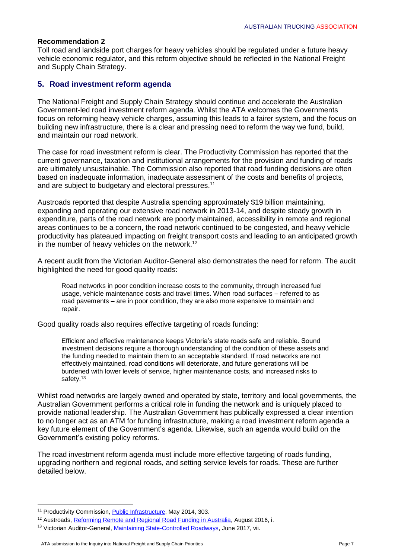### **Recommendation 2**

Toll road and landside port charges for heavy vehicles should be regulated under a future heavy vehicle economic regulator, and this reform objective should be reflected in the National Freight and Supply Chain Strategy.

### **5. Road investment reform agenda**

The National Freight and Supply Chain Strategy should continue and accelerate the Australian Government-led road investment reform agenda. Whilst the ATA welcomes the Governments focus on reforming heavy vehicle charges, assuming this leads to a fairer system, and the focus on building new infrastructure, there is a clear and pressing need to reform the way we fund, build, and maintain our road network.

The case for road investment reform is clear. The Productivity Commission has reported that the current governance, taxation and institutional arrangements for the provision and funding of roads are ultimately unsustainable. The Commission also reported that road funding decisions are often based on inadequate information, inadequate assessment of the costs and benefits of projects, and are subject to budgetary and electoral pressures.<sup>11</sup>

Austroads reported that despite Australia spending approximately \$19 billion maintaining, expanding and operating our extensive road network in 2013-14, and despite steady growth in expenditure, parts of the road network are poorly maintained, accessibility in remote and regional areas continues to be a concern, the road network continued to be congested, and heavy vehicle productivity has plateaued impacting on freight transport costs and leading to an anticipated growth in the number of heavy vehicles on the network.<sup>12</sup>

A recent audit from the Victorian Auditor-General also demonstrates the need for reform. The audit highlighted the need for good quality roads:

Road networks in poor condition increase costs to the community, through increased fuel usage, vehicle maintenance costs and travel times. When road surfaces – referred to as road pavements – are in poor condition, they are also more expensive to maintain and repair.

Good quality roads also requires effective targeting of roads funding:

Efficient and effective maintenance keeps Victoria's state roads safe and reliable. Sound investment decisions require a thorough understanding of the condition of these assets and the funding needed to maintain them to an acceptable standard. If road networks are not effectively maintained, road conditions will deteriorate, and future generations will be burdened with lower levels of service, higher maintenance costs, and increased risks to safety.<sup>13</sup>

Whilst road networks are largely owned and operated by state, territory and local governments, the Australian Government performs a critical role in funding the network and is uniquely placed to provide national leadership. The Australian Government has publically expressed a clear intention to no longer act as an ATM for funding infrastructure, making a road investment reform agenda a key future element of the Government's agenda. Likewise, such an agenda would build on the Government's existing policy reforms.

The road investment reform agenda must include more effective targeting of roads funding, upgrading northern and regional roads, and setting service levels for roads. These are further detailed below.

<sup>&</sup>lt;sup>11</sup> Productivity Commission, [Public Infrastructure,](http://www.pc.gov.au/inquiries/completed/infrastructure/report) May 2014, 303.

<sup>&</sup>lt;sup>12</sup> Austroads, [Reforming Remote and Regional Road Funding in Australia,](http://www.austroads.com.au/news-events/item/362-reforming-remote-and-regional-road-funding) August 2016, i.

<sup>&</sup>lt;sup>13</sup> Victorian Auditor-General[, Maintaining State-Controlled Roadways,](https://www.audit.vic.gov.au/sites/default/files/20170622-Maintaining-Roadways.pdf) June 2017, vii.

ATA submission to the Inquiry into National Freight and Supply Chain Priorities Page 7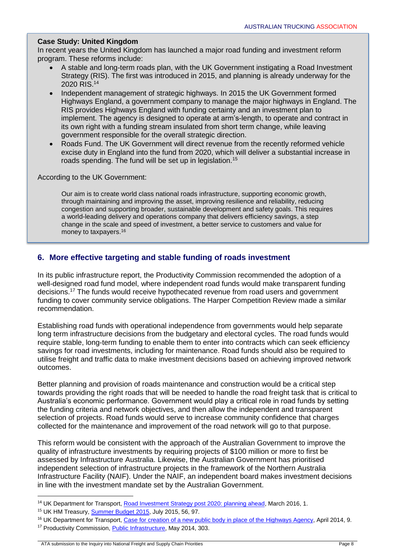### **Case Study: United Kingdom**

In recent years the United Kingdom has launched a major road funding and investment reform program. These reforms include:

- A stable and long-term roads plan, with the UK Government instigating a Road Investment Strategy (RIS). The first was introduced in 2015, and planning is already underway for the 2020 RIS.<sup>14</sup>
- Independent management of strategic highways. In 2015 the UK Government formed Highways England, a government company to manage the major highways in England. The RIS provides Highways England with funding certainty and an investment plan to implement. The agency is designed to operate at arm's-length, to operate and contract in its own right with a funding stream insulated from short term change, while leaving government responsible for the overall strategic direction.
- Roads Fund. The UK Government will direct revenue from the recently reformed vehicle excise duty in England into the fund from 2020, which will deliver a substantial increase in roads spending. The fund will be set up in legislation.<sup>15</sup>

According to the UK Government:

Our aim is to create world class national roads infrastructure, supporting economic growth, through maintaining and improving the asset, improving resilience and reliability, reducing congestion and supporting broader, sustainable development and safety goals. This requires a world-leading delivery and operations company that delivers efficiency savings, a step change in the scale and speed of investment, a better service to customers and value for money to taxpayers.<sup>16</sup>

### **6. More effective targeting and stable funding of roads investment**

In its public infrastructure report, the Productivity Commission recommended the adoption of a well-designed road fund model, where independent road funds would make transparent funding decisions.<sup>17</sup> The funds would receive hypothecated revenue from road users and government funding to cover community service obligations. The Harper Competition Review made a similar recommendation.

Establishing road funds with operational independence from governments would help separate long term infrastructure decisions from the budgetary and electoral cycles. The road funds would require stable, long-term funding to enable them to enter into contracts which can seek efficiency savings for road investments, including for maintenance. Road funds should also be required to utilise freight and traffic data to make investment decisions based on achieving improved network outcomes.

Better planning and provision of roads maintenance and construction would be a critical step towards providing the right roads that will be needed to handle the road freight task that is critical to Australia's economic performance. Government would play a critical role in road funds by setting the funding criteria and network objectives, and then allow the independent and transparent selection of projects. Road funds would serve to increase community confidence that charges collected for the maintenance and improvement of the road network will go to that purpose.

This reform would be consistent with the approach of the Australian Government to improve the quality of infrastructure investments by requiring projects of \$100 million or more to first be assessed by Infrastructure Australia. Likewise, the Australian Government has prioritised independent selection of infrastructure projects in the framework of the Northern Australia Infrastructure Facility (NAIF). Under the NAIF, an independent board makes investment decisions in line with the investment mandate set by the Australian Government.

1

<sup>17</sup> Productivity Commission, [Public Infrastructure,](http://www.pc.gov.au/inquiries/completed/infrastructure/report) May 2014, 303.

ATA submission to the Inquiry into National Freight and Supply Chain Priorities Page 8

<sup>&</sup>lt;sup>14</sup> UK Department for Transport, [Road Investment Strategy post 2020: planning ahead,](https://www.gov.uk/government/uploads/system/uploads/attachment_data/file/508505/road-investment-strategy-post-2020-planning-ahead.pdf) March 2016, 1.

<sup>15</sup> UK HM Treasury, [Summer Budget 2015,](https://www.gov.uk/government/uploads/system/uploads/attachment_data/file/443232/50325_Summer_Budget_15_Web_Accessible.pdf) July 2015, 56, 97.

<sup>&</sup>lt;sup>16</sup> UK Department for Transport, [Case for creation of a new public body in place of the Highways Agency,](https://www.gov.uk/government/uploads/system/uploads/attachment_data/file/315772/ha-reform-business_case.pdf) April 2014, 9.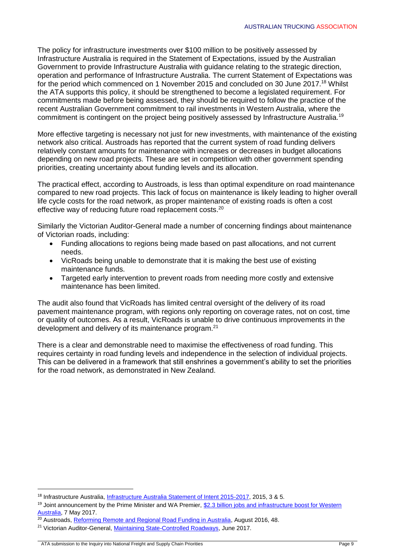The policy for infrastructure investments over \$100 million to be positively assessed by Infrastructure Australia is required in the Statement of Expectations, issued by the Australian Government to provide Infrastructure Australia with guidance relating to the strategic direction, operation and performance of Infrastructure Australia. The current Statement of Expectations was for the period which commenced on 1 November 2015 and concluded on 30 June 2017.<sup>18</sup> Whilst the ATA supports this policy, it should be strengthened to become a legislated requirement. For commitments made before being assessed, they should be required to follow the practice of the recent Australian Government commitment to rail investments in Western Australia, where the commitment is contingent on the project being positively assessed by Infrastructure Australia.<sup>19</sup>

More effective targeting is necessary not just for new investments, with maintenance of the existing network also critical. Austroads has reported that the current system of road funding delivers relatively constant amounts for maintenance with increases or decreases in budget allocations depending on new road projects. These are set in competition with other government spending priorities, creating uncertainty about funding levels and its allocation.

The practical effect, according to Austroads, is less than optimal expenditure on road maintenance compared to new road projects. This lack of focus on maintenance is likely leading to higher overall life cycle costs for the road network, as proper maintenance of existing roads is often a cost effective way of reducing future road replacement costs.<sup>20</sup>

Similarly the Victorian Auditor-General made a number of concerning findings about maintenance of Victorian roads, including:

- Funding allocations to regions being made based on past allocations, and not current needs.
- VicRoads being unable to demonstrate that it is making the best use of existing maintenance funds.
- Targeted early intervention to prevent roads from needing more costly and extensive maintenance has been limited.

The audit also found that VicRoads has limited central oversight of the delivery of its road pavement maintenance program, with regions only reporting on coverage rates, not on cost, time or quality of outcomes. As a result, VicRoads is unable to drive continuous improvements in the development and delivery of its maintenance program.<sup>21</sup>

There is a clear and demonstrable need to maximise the effectiveness of road funding. This requires certainty in road funding levels and independence in the selection of individual projects. This can be delivered in a framework that still enshrines a government's ability to set the priorities for the road network, as demonstrated in New Zealand.

<sup>&</sup>lt;sup>18</sup> Infrastructure Australia, [Infrastructure Australia Statement of Intent 2015-2017,](http://infrastructureaustralia.gov.au/about/files/IA-Statement-of-Intent-2015-17.pdf) 2015, 3 & 5.

<sup>&</sup>lt;sup>19</sup> Joint announcement by the Prime Minister and WA Premier, \$2.3 billion jobs and infrastructure boost for Western [Australia,](http://www.pm.gov.au/media/2017-05-07/23-billion-jobs-and-infrastructure-boost-western-australia) 7 May 2017.

<sup>&</sup>lt;sup>20</sup> Austroads, [Reforming Remote and Regional Road Funding in Australia,](http://www.austroads.com.au/news-events/item/362-reforming-remote-and-regional-road-funding) August 2016, 48.

<sup>&</sup>lt;sup>21</sup> Victorian Auditor-General[, Maintaining State-Controlled Roadways,](https://www.audit.vic.gov.au/sites/default/files/20170622-Maintaining-Roadways.pdf) June 2017.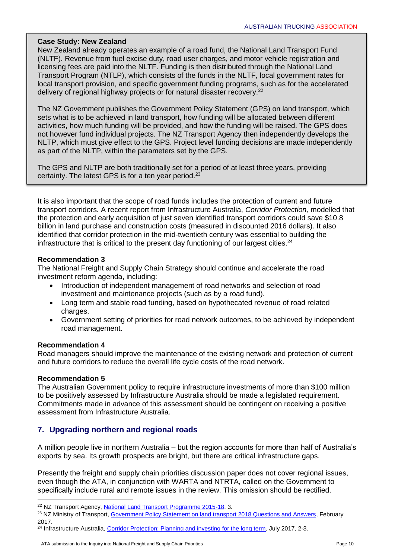### **Case Study: New Zealand**

New Zealand already operates an example of a road fund, the National Land Transport Fund (NLTF). Revenue from fuel excise duty, road user charges, and motor vehicle registration and licensing fees are paid into the NLTF. Funding is then distributed through the National Land Transport Program (NTLP), which consists of the funds in the NLTF, local government rates for local transport provision, and specific government funding programs, such as for the accelerated delivery of regional highway projects or for natural disaster recovery.<sup>22</sup>

The NZ Government publishes the Government Policy Statement (GPS) on land transport, which sets what is to be achieved in land transport, how funding will be allocated between different activities, how much funding will be provided, and how the funding will be raised. The GPS does not however fund individual projects. The NZ Transport Agency then independently develops the NLTP, which must give effect to the GPS. Project level funding decisions are made independently as part of the NLTP, within the parameters set by the GPS.

The GPS and NLTP are both traditionally set for a period of at least three years, providing certainty. The latest GPS is for a ten year period. $23$ 

It is also important that the scope of road funds includes the protection of current and future transport corridors. A recent report from Infrastructure Australia, *Corridor Protection,* modelled that the protection and early acquisition of just seven identified transport corridors could save \$10.8 billion in land purchase and construction costs (measured in discounted 2016 dollars). It also identified that corridor protection in the mid-twentieth century was essential to building the infrastructure that is critical to the present day functioning of our largest cities.<sup>24</sup>

### **Recommendation 3**

The National Freight and Supply Chain Strategy should continue and accelerate the road investment reform agenda, including:

- Introduction of independent management of road networks and selection of road investment and maintenance projects (such as by a road fund).
- Long term and stable road funding, based on hypothecated revenue of road related charges.
- Government setting of priorities for road network outcomes, to be achieved by independent road management.

### **Recommendation 4**

Road managers should improve the maintenance of the existing network and protection of current and future corridors to reduce the overall life cycle costs of the road network.

### **Recommendation 5**

1

The Australian Government policy to require infrastructure investments of more than \$100 million to be positively assessed by Infrastructure Australia should be made a legislated requirement. Commitments made in advance of this assessment should be contingent on receiving a positive assessment from Infrastructure Australia.

# **7. Upgrading northern and regional roads**

A million people live in northern Australia – but the region accounts for more than half of Australia's exports by sea. Its growth prospects are bright, but there are critical infrastructure gaps.

Presently the freight and supply chain priorities discussion paper does not cover regional issues, even though the ATA, in conjunction with WARTA and NTRTA, called on the Government to specifically include rural and remote issues in the review. This omission should be rectified.

<sup>24</sup> Infrastructure Australia, [Corridor Protection: Planning and investing for the long term,](http://infrastructureaustralia.gov.au/policy-publications/publications/files/CorridorProtection.pdf) July 2017, 2-3.

<sup>&</sup>lt;sup>22</sup> NZ Transport Agency, [National Land Transport Programme 2015-18,](https://www.nzta.govt.nz/assets/resources/national-land-transport-programme/2015-18/2015-18-nltp-highlights.pdf) 3.

<sup>&</sup>lt;sup>23</sup> NZ Ministry of Transport, [Government Policy Statement on land transport 2018 Questions and Answers,](http://www.transport.govt.nz/assets/Uploads/Our-Work/Documents/Draft-GPS-2018-QA.pdf) February 2017.

ATA submission to the Inquiry into National Freight and Supply Chain Priorities Page 10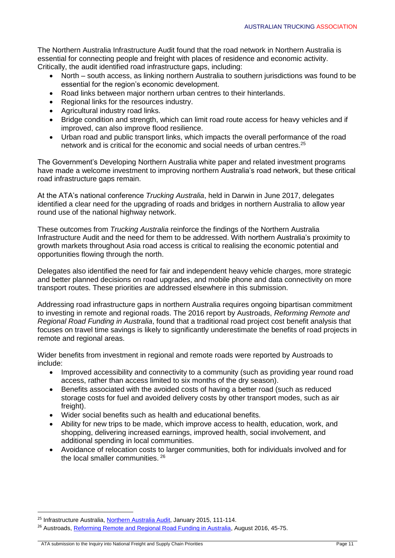The Northern Australia Infrastructure Audit found that the road network in Northern Australia is essential for connecting people and freight with places of residence and economic activity. Critically, the audit identified road infrastructure gaps, including:

- North south access, as linking northern Australia to southern jurisdictions was found to be essential for the region's economic development.
- Road links between major northern urban centres to their hinterlands.
- Regional links for the resources industry.
- Agricultural industry road links.
- Bridge condition and strength, which can limit road route access for heavy vehicles and if improved, can also improve flood resilience.
- Urban road and public transport links, which impacts the overall performance of the road network and is critical for the economic and social needs of urban centres.<sup>25</sup>

The Government's Developing Northern Australia white paper and related investment programs have made a welcome investment to improving northern Australia's road network, but these critical road infrastructure gaps remain.

At the ATA's national conference *Trucking Australia*, held in Darwin in June 2017, delegates identified a clear need for the upgrading of roads and bridges in northern Australia to allow year round use of the national highway network.

These outcomes from *Trucking Australia* reinforce the findings of the Northern Australia Infrastructure Audit and the need for them to be addressed. With northern Australia's proximity to growth markets throughout Asia road access is critical to realising the economic potential and opportunities flowing through the north.

Delegates also identified the need for fair and independent heavy vehicle charges, more strategic and better planned decisions on road upgrades, and mobile phone and data connectivity on more transport routes. These priorities are addressed elsewhere in this submission.

Addressing road infrastructure gaps in northern Australia requires ongoing bipartisan commitment to investing in remote and regional roads. The 2016 report by Austroads, *Reforming Remote and Regional Road Funding in Australia*, found that a traditional road project cost benefit analysis that focuses on travel time savings is likely to significantly underestimate the benefits of road projects in remote and regional areas.

Wider benefits from investment in regional and remote roads were reported by Austroads to include:

- Improved accessibility and connectivity to a community (such as providing year round road access, rather than access limited to six months of the dry season).
- Benefits associated with the avoided costs of having a better road (such as reduced storage costs for fuel and avoided delivery costs by other transport modes, such as air freight).
- Wider social benefits such as health and educational benefits.
- Ability for new trips to be made, which improve access to health, education, work, and shopping, delivering increased earnings, improved health, social involvement, and additional spending in local communities.
- Avoidance of relocation costs to larger communities, both for individuals involved and for the local smaller communities. <sup>26</sup>

 $\overline{a}$ 

<sup>&</sup>lt;sup>25</sup> Infrastructure Australia, [Northern Australia Audit,](http://infrastructureaustralia.gov.au/policy-publications/publications/files/IA_Northern_Australia_Audit.pdf) January 2015, 111-114.

<sup>&</sup>lt;sup>26</sup> Austroads, [Reforming Remote and Regional Road Funding in Australia,](http://www.austroads.com.au/news-events/item/362-reforming-remote-and-regional-road-funding) August 2016, 45-75.

ATA submission to the Inquiry into National Freight and Supply Chain Priorities Page 11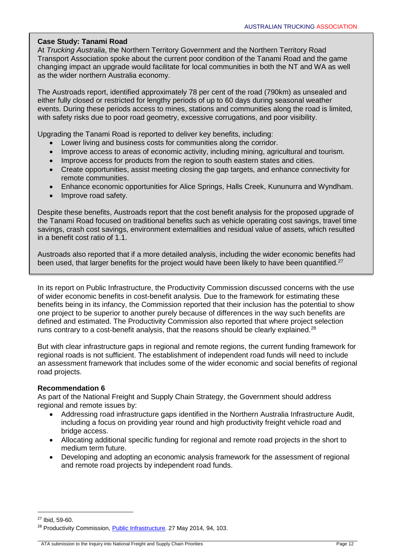### **Case Study: Tanami Road**

At *Trucking Australia*, the Northern Territory Government and the Northern Territory Road Transport Association spoke about the current poor condition of the Tanami Road and the game changing impact an upgrade would facilitate for local communities in both the NT and WA as well as the wider northern Australia economy.

The Austroads report, identified approximately 78 per cent of the road (790km) as unsealed and either fully closed or restricted for lengthy periods of up to 60 days during seasonal weather events. During these periods access to mines, stations and communities along the road is limited, with safety risks due to poor road geometry, excessive corrugations, and poor visibility.

Upgrading the Tanami Road is reported to deliver key benefits, including:

- Lower living and business costs for communities along the corridor.
- Improve access to areas of economic activity, including mining, agricultural and tourism.
- Improve access for products from the region to south eastern states and cities.
- Create opportunities, assist meeting closing the gap targets, and enhance connectivity for remote communities.
- Enhance economic opportunities for Alice Springs, Halls Creek, Kununurra and Wyndham.
- Improve road safety.

Despite these benefits, Austroads report that the cost benefit analysis for the proposed upgrade of the Tanami Road focused on traditional benefits such as vehicle operating cost savings, travel time savings, crash cost savings, environment externalities and residual value of assets, which resulted in a benefit cost ratio of 1.1.

Austroads also reported that if a more detailed analysis, including the wider economic benefits had been used, that larger benefits for the project would have been likely to have been quantified.<sup>27</sup>

In its report on Public Infrastructure, the Productivity Commission discussed concerns with the use of wider economic benefits in cost-benefit analysis. Due to the framework for estimating these benefits being in its infancy, the Commission reported that their inclusion has the potential to show one project to be superior to another purely because of differences in the way such benefits are defined and estimated. The Productivity Commission also reported that where project selection runs contrary to a cost-benefit analysis, that the reasons should be clearly explained.<sup>28</sup>

But with clear infrastructure gaps in regional and remote regions, the current funding framework for regional roads is not sufficient. The establishment of independent road funds will need to include an assessment framework that includes some of the wider economic and social benefits of regional road projects.

### **Recommendation 6**

As part of the National Freight and Supply Chain Strategy, the Government should address regional and remote issues by:

- Addressing road infrastructure gaps identified in the Northern Australia Infrastructure Audit, including a focus on providing year round and high productivity freight vehicle road and bridge access.
- Allocating additional specific funding for regional and remote road projects in the short to medium term future.
- Developing and adopting an economic analysis framework for the assessment of regional and remote road projects by independent road funds.

 $\overline{a}$ 

 $27$  Ibid, 59-60.

<sup>&</sup>lt;sup>28</sup> Productivity Commission, **Public Infrastructure**. 27 May 2014, 94, 103.

ATA submission to the Inquiry into National Freight and Supply Chain Priorities Page 12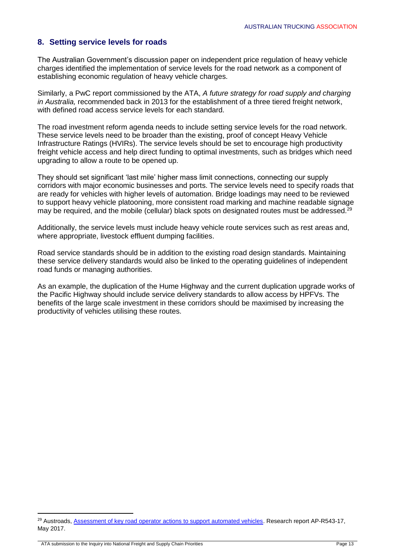### **8. Setting service levels for roads**

The Australian Government's discussion paper on independent price regulation of heavy vehicle charges identified the implementation of service levels for the road network as a component of establishing economic regulation of heavy vehicle charges.

Similarly, a PwC report commissioned by the ATA, *A future strategy for road supply and charging in Australia,* recommended back in 2013 for the establishment of a three tiered freight network, with defined road access service levels for each standard.

The road investment reform agenda needs to include setting service levels for the road network. These service levels need to be broader than the existing, proof of concept Heavy Vehicle Infrastructure Ratings (HVIRs). The service levels should be set to encourage high productivity freight vehicle access and help direct funding to optimal investments, such as bridges which need upgrading to allow a route to be opened up.

They should set significant 'last mile' higher mass limit connections, connecting our supply corridors with major economic businesses and ports. The service levels need to specify roads that are ready for vehicles with higher levels of automation. Bridge loadings may need to be reviewed to support heavy vehicle platooning, more consistent road marking and machine readable signage may be required, and the mobile (cellular) black spots on designated routes must be addressed.<sup>29</sup>

Additionally, the service levels must include heavy vehicle route services such as rest areas and, where appropriate, livestock effluent dumping facilities.

Road service standards should be in addition to the existing road design standards. Maintaining these service delivery standards would also be linked to the operating guidelines of independent road funds or managing authorities.

As an example, the duplication of the Hume Highway and the current duplication upgrade works of the Pacific Highway should include service delivery standards to allow access by HPFVs. The benefits of the large scale investment in these corridors should be maximised by increasing the productivity of vehicles utilising these routes.

1

<sup>&</sup>lt;sup>29</sup> Austroads, [Assessment of key road operator actions to support automated vehicles.](https://www.onlinepublications.austroads.com.au/items/AP-R543-17) Research report AP-R543-17, May 2017.

ATA submission to the Inquiry into National Freight and Supply Chain Priorities Page 13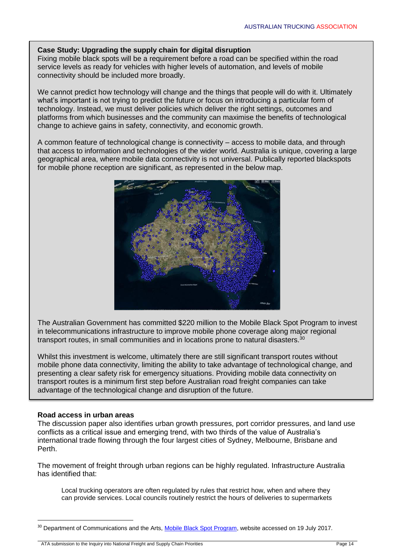### **Case Study: Upgrading the supply chain for digital disruption**

Fixing mobile black spots will be a requirement before a road can be specified within the road service levels as ready for vehicles with higher levels of automation, and levels of mobile connectivity should be included more broadly.

We cannot predict how technology will change and the things that people will do with it. Ultimately what's important is not trying to predict the future or focus on introducing a particular form of technology. Instead, we must deliver policies which deliver the right settings, outcomes and platforms from which businesses and the community can maximise the benefits of technological change to achieve gains in safety, connectivity, and economic growth.

A common feature of technological change is connectivity – access to mobile data, and through that access to information and technologies of the wider world. Australia is unique, covering a large geographical area, where mobile data connectivity is not universal. Publically reported blackspots for mobile phone reception are significant, as represented in the below map.



The Australian Government has committed \$220 million to the Mobile Black Spot Program to invest in telecommunications infrastructure to improve mobile phone coverage along major regional transport routes, in small communities and in locations prone to natural disasters.<sup>30</sup>

Whilst this investment is welcome, ultimately there are still significant transport routes without mobile phone data connectivity, limiting the ability to take advantage of technological change, and presenting a clear safety risk for emergency situations. Providing mobile data connectivity on transport routes is a minimum first step before Australian road freight companies can take advantage of the technological change and disruption of the future.

### **Road access in urban areas**

**.** 

The discussion paper also identifies urban growth pressures, port corridor pressures, and land use conflicts as a critical issue and emerging trend, with two thirds of the value of Australia's international trade flowing through the four largest cities of Sydney, Melbourne, Brisbane and Perth.

The movement of freight through urban regions can be highly regulated. Infrastructure Australia has identified that:

Local trucking operators are often regulated by rules that restrict how, when and where they can provide services. Local councils routinely restrict the hours of deliveries to supermarkets

ATA submission to the Inquiry into National Freight and Supply Chain Priorities Page 14

<sup>&</sup>lt;sup>30</sup> Department of Communications and the Arts, [Mobile Black Spot Program,](https://www.communications.gov.au/what-we-do/phone/mobile-services-and-coverage/mobile-black-spot-program) website accessed on 19 July 2017.